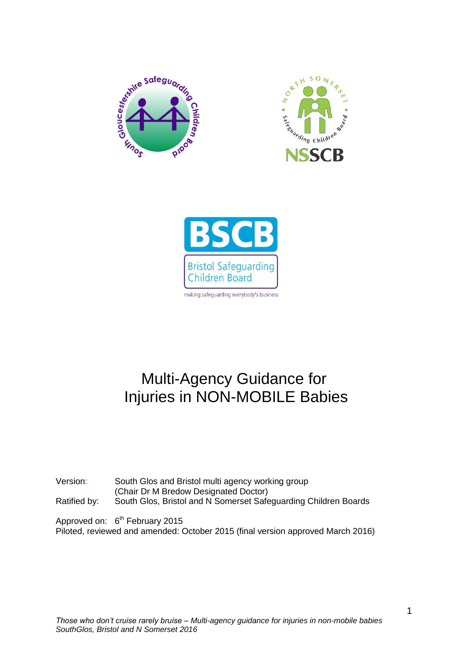





# Multi-Agency Guidance for Injuries in NON-MOBILE Babies

Version: South Glos and Bristol multi agency working group (Chair Dr M Bredow Designated Doctor) Ratified by: South Glos, Bristol and N Somerset Safeguarding Children Boards

Approved on: 6<sup>th</sup> February 2015 Piloted, reviewed and amended: October 2015 (final version approved March 2016)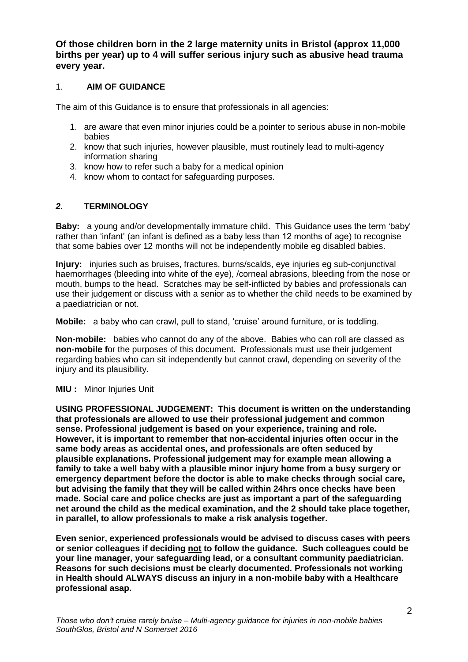**Of those children born in the 2 large maternity units in Bristol (approx 11,000 births per year) up to 4 will suffer serious injury such as abusive head trauma every year.**

## 1. **AIM OF GUIDANCE**

The aim of this Guidance is to ensure that professionals in all agencies:

- 1. are aware that even minor injuries could be a pointer to serious abuse in non-mobile babies
- 2. know that such injuries, however plausible, must routinely lead to multi-agency information sharing
- 3. know how to refer such a baby for a medical opinion
- 4. know whom to contact for safeguarding purposes.

# *2.* **TERMINOLOGY**

**Baby:** a young and/or developmentally immature child. This Guidance uses the term 'baby' rather than 'infant' (an infant is defined as a baby less than 12 months of age) to recognise that some babies over 12 months will not be independently mobile eg disabled babies.

**Injury:** injuries such as bruises, fractures, burns/scalds, eye injuries eg sub-conjunctival haemorrhages (bleeding into white of the eye), /corneal abrasions, bleeding from the nose or mouth, bumps to the head. Scratches may be self-inflicted by babies and professionals can use their judgement or discuss with a senior as to whether the child needs to be examined by a paediatrician or not.

**Mobile:** a baby who can crawl, pull to stand, 'cruise' around furniture, or is toddling.

**Non-mobile:** babies who cannot do any of the above. Babies who can roll are classed as **non-mobile** for the purposes of this document. Professionals must use their judgement regarding babies who can sit independently but cannot crawl, depending on severity of the injury and its plausibility.

#### **MIU** : Minor Injuries Unit

**USING PROFESSIONAL JUDGEMENT: This document is written on the understanding that professionals are allowed to use their professional judgement and common sense. Professional judgement is based on your experience, training and role. However, it is important to remember that non-accidental injuries often occur in the same body areas as accidental ones, and professionals are often seduced by plausible explanations. Professional judgement may for example mean allowing a family to take a well baby with a plausible minor injury home from a busy surgery or emergency department before the doctor is able to make checks through social care, but advising the family that they will be called within 24hrs once checks have been made. Social care and police checks are just as important a part of the safeguarding net around the child as the medical examination, and the 2 should take place together, in parallel, to allow professionals to make a risk analysis together.**

**Even senior, experienced professionals would be advised to discuss cases with peers or senior colleagues if deciding not to follow the guidance. Such colleagues could be your line manager, your safeguarding lead, or a consultant community paediatrician. Reasons for such decisions must be clearly documented. Professionals not working in Health should ALWAYS discuss an injury in a non-mobile baby with a Healthcare professional asap.**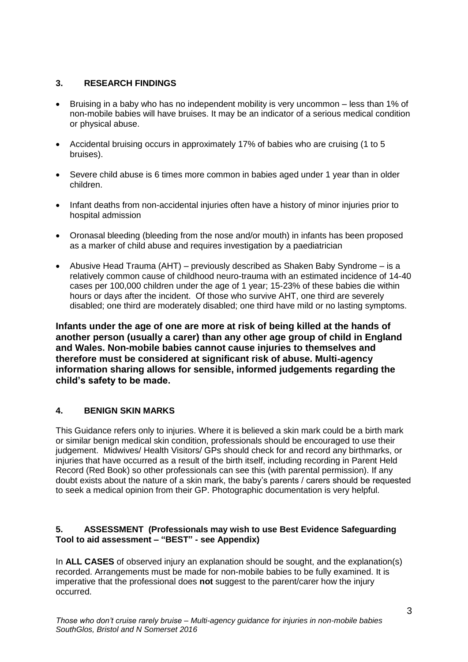# **3. RESEARCH FINDINGS**

- Bruising in a baby who has no independent mobility is very uncommon less than 1% of non-mobile babies will have bruises. It may be an indicator of a serious medical condition or physical abuse.
- Accidental bruising occurs in approximately 17% of babies who are cruising (1 to 5 bruises).
- Severe child abuse is 6 times more common in babies aged under 1 year than in older children.
- Infant deaths from non-accidental injuries often have a history of minor injuries prior to hospital admission
- Oronasal bleeding (bleeding from the nose and/or mouth) in infants has been proposed as a marker of child abuse and requires investigation by a paediatrician
- Abusive Head Trauma (AHT) previously described as Shaken Baby Syndrome is a relatively common cause of childhood neuro-trauma with an estimated incidence of 14-40 cases per 100,000 children under the age of 1 year; 15-23% of these babies die within hours or days after the incident. Of those who survive AHT, one third are severely disabled; one third are moderately disabled; one third have mild or no lasting symptoms.

**Infants under the age of one are more at risk of being killed at the hands of another person (usually a carer) than any other age group of child in England and Wales. Non-mobile babies cannot cause injuries to themselves and therefore must be considered at significant risk of abuse. Multi-agency information sharing allows for sensible, informed judgements regarding the child's safety to be made.**

# **4. BENIGN SKIN MARKS**

This Guidance refers only to injuries. Where it is believed a skin mark could be a birth mark or similar benign medical skin condition, professionals should be encouraged to use their judgement. Midwives/ Health Visitors/ GPs should check for and record any birthmarks, or injuries that have occurred as a result of the birth itself, including recording in Parent Held Record (Red Book) so other professionals can see this (with parental permission). If any doubt exists about the nature of a skin mark, the baby's parents / carers should be requested to seek a medical opinion from their GP. Photographic documentation is very helpful.

## **5. ASSESSMENT (Professionals may wish to use Best Evidence Safeguarding Tool to aid assessment – "BEST" - see Appendix)**

In **ALL CASES** of observed injury an explanation should be sought, and the explanation(s) recorded. Arrangements must be made for non-mobile babies to be fully examined. It is imperative that the professional does **not** suggest to the parent/carer how the injury occurred.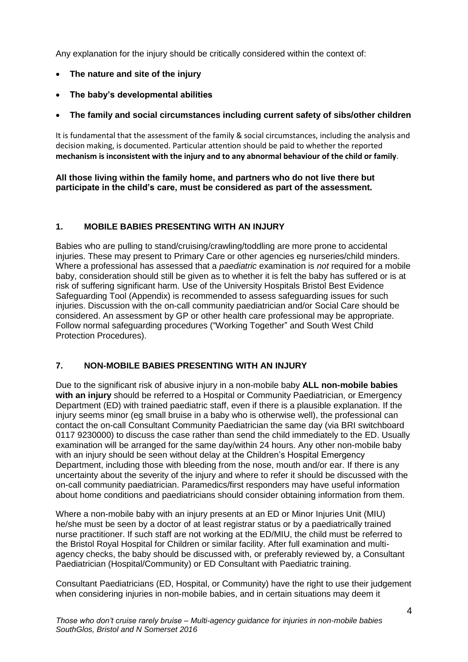Any explanation for the injury should be critically considered within the context of:

- **The nature and site of the injury**
- **The baby's developmental abilities**
- **The family and social circumstances including current safety of sibs/other children**

It is fundamental that the assessment of the family & social circumstances, including the analysis and decision making, is documented. Particular attention should be paid to whether the reported **mechanism is inconsistent with the injury and to any abnormal behaviour of the child or family**.

**All those living within the family home, and partners who do not live there but participate in the child's care, must be considered as part of the assessment.**

## **1. MOBILE BABIES PRESENTING WITH AN INJURY**

Babies who are pulling to stand/cruising/crawling/toddling are more prone to accidental injuries. These may present to Primary Care or other agencies eg nurseries/child minders. Where a professional has assessed that a *paediatric* examination is *not* required for a mobile baby, consideration should still be given as to whether it is felt the baby has suffered or is at risk of suffering significant harm. Use of the University Hospitals Bristol Best Evidence Safeguarding Tool (Appendix) is recommended to assess safeguarding issues for such injuries. Discussion with the on-call community paediatrician and/or Social Care should be considered. An assessment by GP or other health care professional may be appropriate. Follow normal safeguarding procedures ("Working Together" and South West Child Protection Procedures).

#### **7. NON-MOBILE BABIES PRESENTING WITH AN INJURY**

Due to the significant risk of abusive injury in a non-mobile baby **ALL non-mobile babies with an injury** should be referred to a Hospital or Community Paediatrician, or Emergency Department (ED) with trained paediatric staff, even if there is a plausible explanation. If the injury seems minor (eg small bruise in a baby who is otherwise well), the professional can contact the on-call Consultant Community Paediatrician the same day (via BRI switchboard 0117 9230000) to discuss the case rather than send the child immediately to the ED. Usually examination will be arranged for the same day/within 24 hours. Any other non-mobile baby with an injury should be seen without delay at the Children's Hospital Emergency Department, including those with bleeding from the nose, mouth and/or ear. If there is any uncertainty about the severity of the injury and where to refer it should be discussed with the on-call community paediatrician. Paramedics/first responders may have useful information about home conditions and paediatricians should consider obtaining information from them.

Where a non-mobile baby with an injury presents at an ED or Minor Injuries Unit (MIU) he/she must be seen by a doctor of at least registrar status or by a paediatrically trained nurse practitioner. If such staff are not working at the ED/MIU, the child must be referred to the Bristol Royal Hospital for Children or similar facility. After full examination and multiagency checks, the baby should be discussed with, or preferably reviewed by, a Consultant Paediatrician (Hospital/Community) or ED Consultant with Paediatric training.

Consultant Paediatricians (ED, Hospital, or Community) have the right to use their judgement when considering injuries in non-mobile babies, and in certain situations may deem it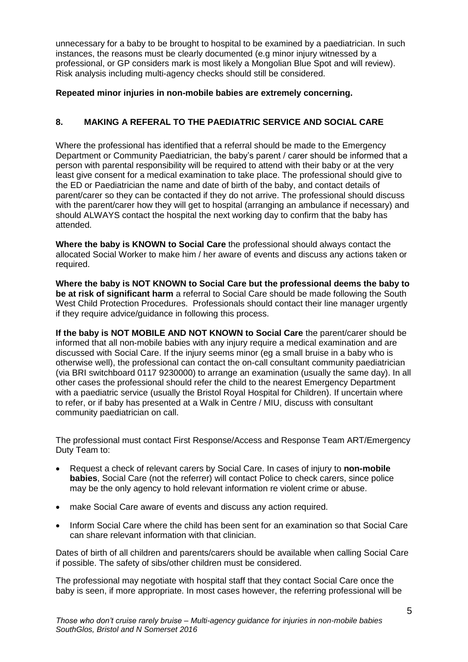unnecessary for a baby to be brought to hospital to be examined by a paediatrician. In such instances, the reasons must be clearly documented (e.g minor injury witnessed by a professional, or GP considers mark is most likely a Mongolian Blue Spot and will review). Risk analysis including multi-agency checks should still be considered.

# **Repeated minor injuries in non-mobile babies are extremely concerning.**

# **8. MAKING A REFERAL TO THE PAEDIATRIC SERVICE AND SOCIAL CARE**

Where the professional has identified that a referral should be made to the Emergency Department or Community Paediatrician, the baby's parent / carer should be informed that a person with parental responsibility will be required to attend with their baby or at the very least give consent for a medical examination to take place. The professional should give to the ED or Paediatrician the name and date of birth of the baby, and contact details of parent/carer so they can be contacted if they do not arrive. The professional should discuss with the parent/carer how they will get to hospital (arranging an ambulance if necessary) and should ALWAYS contact the hospital the next working day to confirm that the baby has attended.

**Where the baby is KNOWN to Social Care** the professional should always contact the allocated Social Worker to make him / her aware of events and discuss any actions taken or required.

**Where the baby is NOT KNOWN to Social Care but the professional deems the baby to be at risk of significant harm** a referral to Social Care should be made following the South West Child Protection Procedures. Professionals should contact their line manager urgently if they require advice/guidance in following this process.

**If the baby is NOT MOBILE AND NOT KNOWN to Social Care** the parent/carer should be informed that all non-mobile babies with any injury require a medical examination and are discussed with Social Care. If the injury seems minor (eg a small bruise in a baby who is otherwise well), the professional can contact the on-call consultant community paediatrician (via BRI switchboard 0117 9230000) to arrange an examination (usually the same day). In all other cases the professional should refer the child to the nearest Emergency Department with a paediatric service (usually the Bristol Royal Hospital for Children). If uncertain where to refer, or if baby has presented at a Walk in Centre / MIU, discuss with consultant community paediatrician on call.

The professional must contact First Response/Access and Response Team ART/Emergency Duty Team to:

- Request a check of relevant carers by Social Care. In cases of injury to **non-mobile babies**, Social Care (not the referrer) will contact Police to check carers, since police may be the only agency to hold relevant information re violent crime or abuse.
- make Social Care aware of events and discuss any action required.
- Inform Social Care where the child has been sent for an examination so that Social Care can share relevant information with that clinician.

Dates of birth of all children and parents/carers should be available when calling Social Care if possible. The safety of sibs/other children must be considered.

The professional may negotiate with hospital staff that they contact Social Care once the baby is seen, if more appropriate. In most cases however, the referring professional will be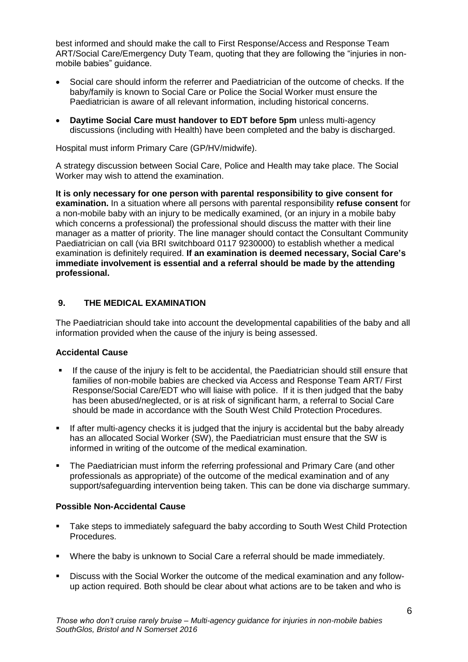best informed and should make the call to First Response/Access and Response Team ART/Social Care/Emergency Duty Team, quoting that they are following the "injuries in nonmobile babies" guidance.

- Social care should inform the referrer and Paediatrician of the outcome of checks. If the baby/family is known to Social Care or Police the Social Worker must ensure the Paediatrician is aware of all relevant information, including historical concerns.
- **Daytime Social Care must handover to EDT before 5pm** unless multi-agency discussions (including with Health) have been completed and the baby is discharged.

Hospital must inform Primary Care (GP/HV/midwife).

A strategy discussion between Social Care, Police and Health may take place. The Social Worker may wish to attend the examination.

**It is only necessary for one person with parental responsibility to give consent for examination.** In a situation where all persons with parental responsibility **refuse consent** for a non-mobile baby with an injury to be medically examined, (or an injury in a mobile baby which concerns a professional) the professional should discuss the matter with their line manager as a matter of priority. The line manager should contact the Consultant Community Paediatrician on call (via BRI switchboard 0117 9230000) to establish whether a medical examination is definitely required. **If an examination is deemed necessary, Social Care's immediate involvement is essential and a referral should be made by the attending professional.**

#### **9. THE MEDICAL EXAMINATION**

The Paediatrician should take into account the developmental capabilities of the baby and all information provided when the cause of the injury is being assessed.

#### **Accidental Cause**

- If the cause of the injury is felt to be accidental, the Paediatrician should still ensure that families of non-mobile babies are checked via Access and Response Team ART/ First Response/Social Care/EDT who will liaise with police. If it is then judged that the baby has been abused/neglected, or is at risk of significant harm, a referral to Social Care should be made in accordance with the South West Child Protection Procedures.
- If after multi-agency checks it is judged that the injury is accidental but the baby already has an allocated Social Worker (SW), the Paediatrician must ensure that the SW is informed in writing of the outcome of the medical examination.
- The Paediatrician must inform the referring professional and Primary Care (and other professionals as appropriate) of the outcome of the medical examination and of any support/safeguarding intervention being taken. This can be done via discharge summary.

#### **Possible Non-Accidental Cause**

- Take steps to immediately safeguard the baby according to South West Child Protection Procedures.
- Where the baby is unknown to Social Care a referral should be made immediately.
- Discuss with the Social Worker the outcome of the medical examination and any followup action required. Both should be clear about what actions are to be taken and who is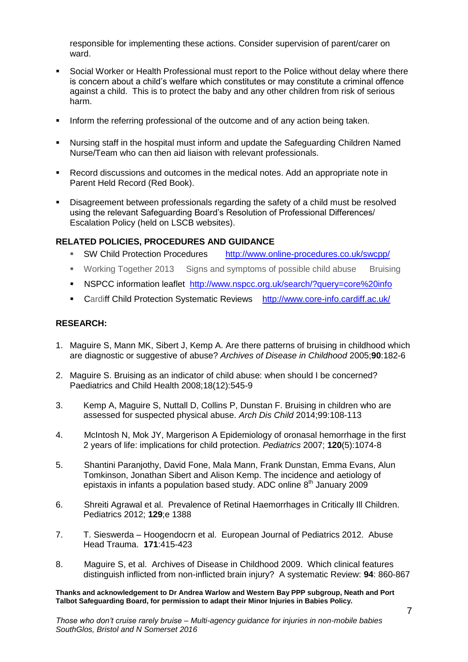responsible for implementing these actions. Consider supervision of parent/carer on ward.

- Social Worker or Health Professional must report to the Police without delay where there is concern about a child's welfare which constitutes or may constitute a criminal offence against a child. This is to protect the baby and any other children from risk of serious harm.
- Inform the referring professional of the outcome and of any action being taken.
- Nursing staff in the hospital must inform and update the Safeguarding Children Named Nurse/Team who can then aid liaison with relevant professionals.
- Record discussions and outcomes in the medical notes. Add an appropriate note in Parent Held Record (Red Book).
- Disagreement between professionals regarding the safety of a child must be resolved using the relevant Safeguarding Board's Resolution of Professional Differences/ Escalation Policy (held on LSCB websites).

#### **RELATED POLICIES, PROCEDURES AND GUIDANCE**

- SW Child Protection Procedures <http://www.online-procedures.co.uk/swcpp/>
- Working Together 2013 Signs and symptoms of possible child abuse Bruising
- NSPCC information leaflet <http://www.nspcc.org.uk/search/?query=core%20info>
- Cardiff Child Protection Systematic Reviews <http://www.core-info.cardiff.ac.uk/>

#### **RESEARCH:**

- 1. Maguire S, Mann MK, Sibert J, Kemp A. Are there patterns of bruising in childhood which are diagnostic or suggestive of abuse? *Archives of Disease in Childhood* 2005;**90**:182-6
- 2. Maguire S. Bruising as an indicator of child abuse: when should I be concerned? Paediatrics and Child Health 2008;18(12):545-9
- 3. Kemp A, Maguire S, Nuttall D, Collins P, Dunstan F. Bruising in children who are assessed for suspected physical abuse. *Arch Dis Child* 2014;99:108-113
- 4. McIntosh N, Mok JY, Margerison A Epidemiology of oronasal hemorrhage in the first 2 years of life: implications for child protection. *Pediatrics* 2007; **120**(5):1074-8
- 5. Shantini Paranjothy, David Fone, Mala Mann, Frank Dunstan, Emma Evans, Alun Tomkinson, Jonathan Sibert and Alison Kemp. The incidence and aetiology of epistaxis in infants a population based study. ADC online  $8<sup>th</sup>$  January 2009
- 6. Shreiti Agrawal et al. Prevalence of Retinal Haemorrhages in Critically Ill Children. Pediatrics 2012; **129**;e 1388
- 7. T. Sieswerda Hoogendocrn et al. European Journal of Pediatrics 2012. Abuse Head Trauma. **171**:415-423
- 8. Maguire S, et al. Archives of Disease in Childhood 2009. Which clinical features distinguish inflicted from non-inflicted brain injury? A systematic Review: **94**: 860-867

**Thanks and acknowledgement to Dr Andrea Warlow and Western Bay PPP subgroup, Neath and Port Talbot Safeguarding Board, for permission to adapt their Minor Injuries in Babies Policy.**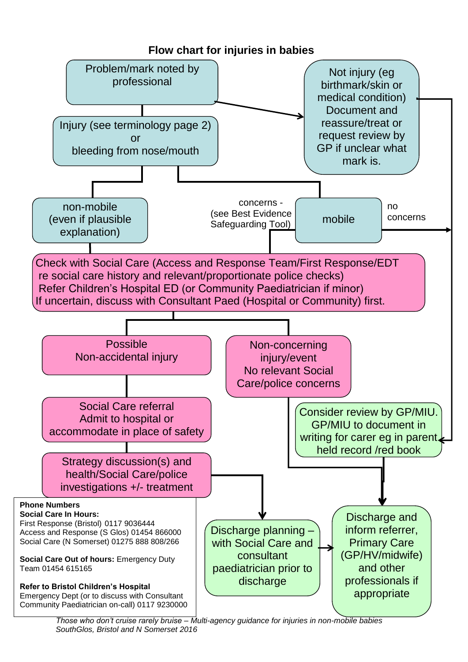

*Those who don't cruise rarely bruise – Multi-agency guidance for injuries in non-mobile babies SouthGlos, Bristol and N Somerset 2016*

# **Flow chart for injuries in babies**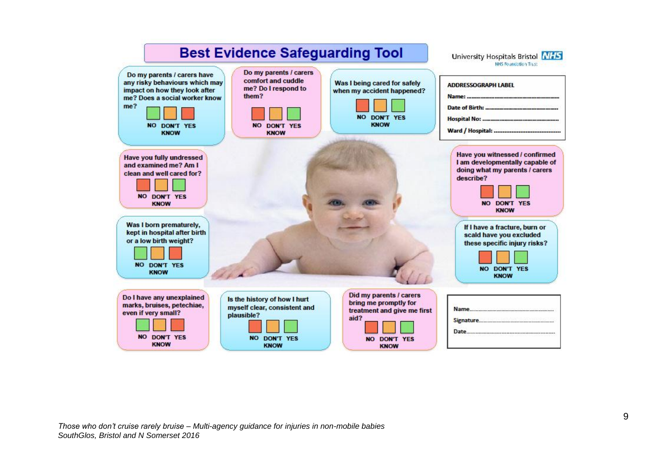